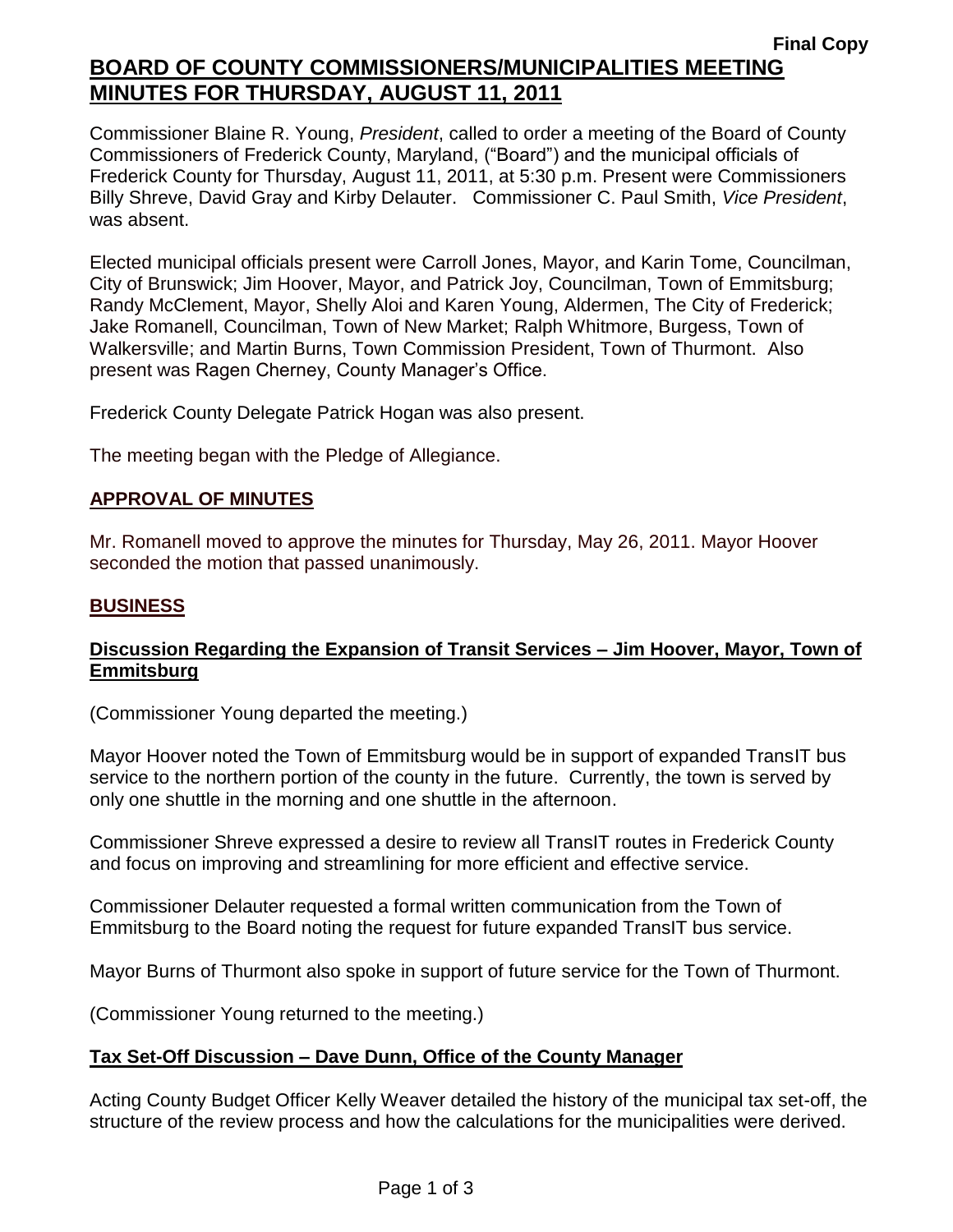# **Final Copy BOARD OF COUNTY COMMISSIONERS/MUNICIPALITIES MEETING MINUTES FOR THURSDAY, AUGUST 11, 2011**

Commissioner Blaine R. Young, *President*, called to order a meeting of the Board of County Commissioners of Frederick County, Maryland, ("Board") and the municipal officials of Frederick County for Thursday, August 11, 2011, at 5:30 p.m. Present were Commissioners Billy Shreve, David Gray and Kirby Delauter. Commissioner C. Paul Smith, *Vice President*, was absent.

Elected municipal officials present were Carroll Jones, Mayor, and Karin Tome, Councilman, City of Brunswick; Jim Hoover, Mayor, and Patrick Joy, Councilman, Town of Emmitsburg; Randy McClement, Mayor, Shelly Aloi and Karen Young, Aldermen, The City of Frederick; Jake Romanell, Councilman, Town of New Market; Ralph Whitmore, Burgess, Town of Walkersville; and Martin Burns, Town Commission President, Town of Thurmont. Also present was Ragen Cherney, County Manager's Office.

Frederick County Delegate Patrick Hogan was also present.

The meeting began with the Pledge of Allegiance.

## *1BU***APPROVAL OF MINUTES**

Mr. Romanell moved to approve the minutes for Thursday, May 26, 2011. Mayor Hoover seconded the motion that passed unanimously.

### *2BU***BUSINESS**

#### **Discussion Regarding the Expansion of Transit Services – Jim Hoover, Mayor, Town of Emmitsburg**

(Commissioner Young departed the meeting.)

Mayor Hoover noted the Town of Emmitsburg would be in support of expanded TransIT bus service to the northern portion of the county in the future. Currently, the town is served by only one shuttle in the morning and one shuttle in the afternoon.

Commissioner Shreve expressed a desire to review all TransIT routes in Frederick County and focus on improving and streamlining for more efficient and effective service.

Commissioner Delauter requested a formal written communication from the Town of Emmitsburg to the Board noting the request for future expanded TransIT bus service.

Mayor Burns of Thurmont also spoke in support of future service for the Town of Thurmont.

(Commissioner Young returned to the meeting.)

#### **Tax Set-Off Discussion – Dave Dunn, Office of the County Manager**

Acting County Budget Officer Kelly Weaver detailed the history of the municipal tax set-off, the structure of the review process and how the calculations for the municipalities were derived.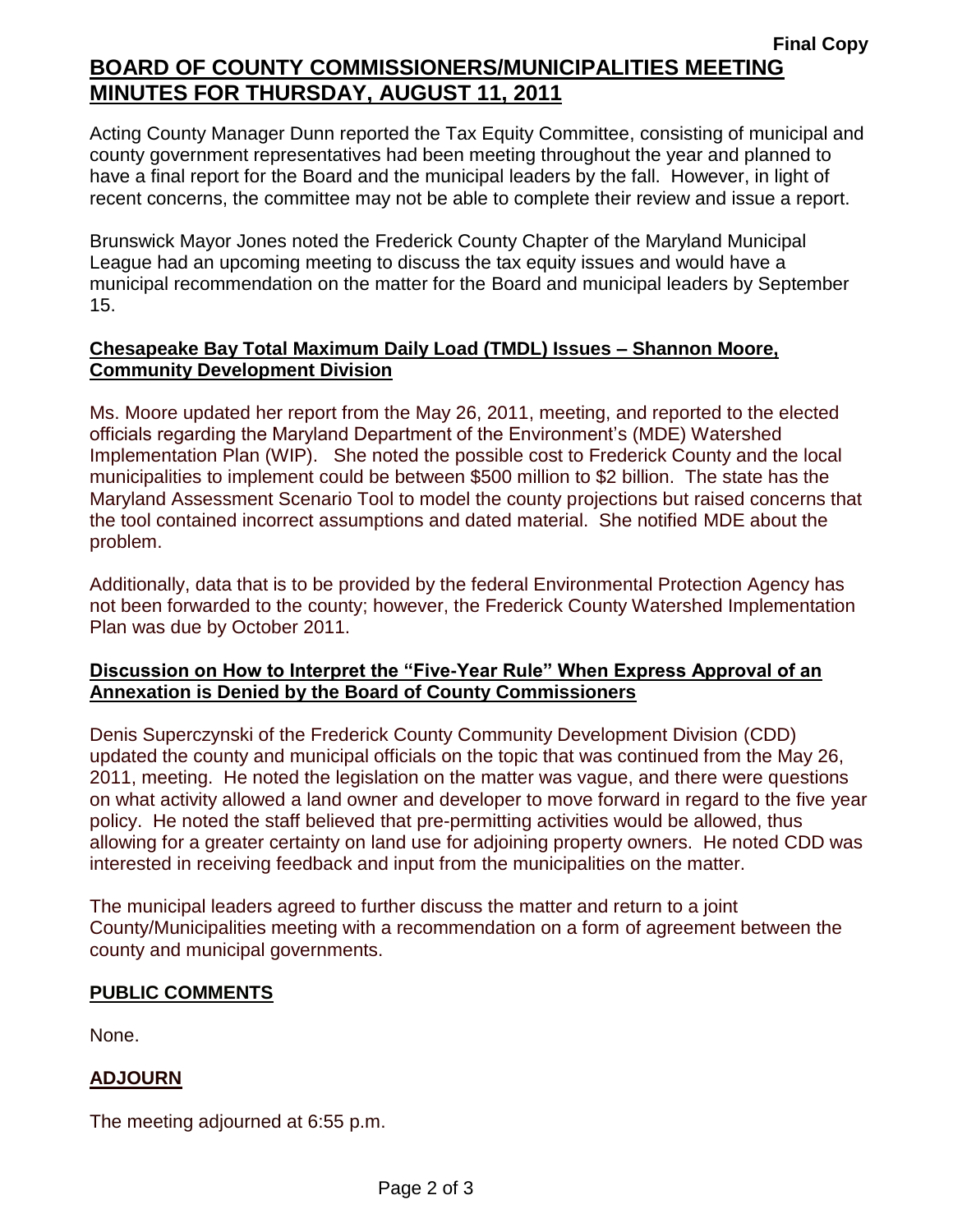Acting County Manager Dunn reported the Tax Equity Committee, consisting of municipal and county government representatives had been meeting throughout the year and planned to have a final report for the Board and the municipal leaders by the fall. However, in light of recent concerns, the committee may not be able to complete their review and issue a report.

Brunswick Mayor Jones noted the Frederick County Chapter of the Maryland Municipal League had an upcoming meeting to discuss the tax equity issues and would have a municipal recommendation on the matter for the Board and municipal leaders by September 15.

## **Chesapeake Bay Total Maximum Daily Load (TMDL) Issues – Shannon Moore, Community Development Division**

Ms. Moore updated her report from the May 26, 2011, meeting, and reported to the elected officials regarding the Maryland Department of the Environment's (MDE) Watershed Implementation Plan (WIP). She noted the possible cost to Frederick County and the local municipalities to implement could be between \$500 million to \$2 billion. The state has the Maryland Assessment Scenario Tool to model the county projections but raised concerns that the tool contained incorrect assumptions and dated material. She notified MDE about the problem.

Additionally, data that is to be provided by the federal Environmental Protection Agency has not been forwarded to the county; however, the Frederick County Watershed Implementation Plan was due by October 2011.

# **Discussion on How to Interpret the "Five-Year Rule" When Express Approval of an Annexation is Denied by the Board of County Commissioners**

Denis Superczynski of the Frederick County Community Development Division (CDD) updated the county and municipal officials on the topic that was continued from the May 26, 2011, meeting. He noted the legislation on the matter was vague, and there were questions on what activity allowed a land owner and developer to move forward in regard to the five year policy. He noted the staff believed that pre-permitting activities would be allowed, thus allowing for a greater certainty on land use for adjoining property owners. He noted CDD was interested in receiving feedback and input from the municipalities on the matter.

The municipal leaders agreed to further discuss the matter and return to a joint County/Municipalities meeting with a recommendation on a form of agreement between the county and municipal governments.

# **PUBLIC COMMENTS**

None.

# **ADJOURN**

The meeting adjourned at 6:55 p.m.